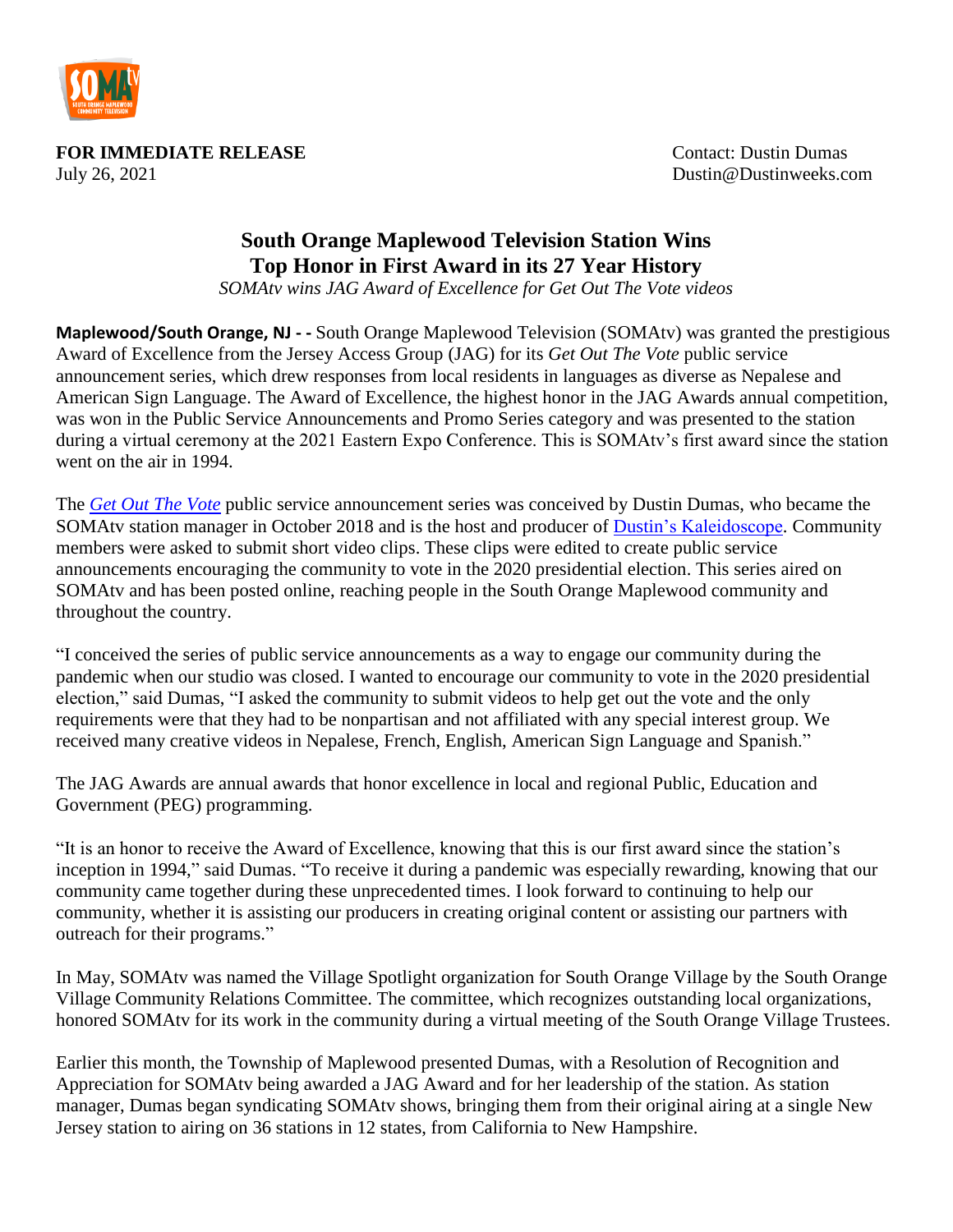

**FOR IMMEDIATE RELEASE CONSERVERS CONSERVERS CONSERVERSITY CONTACT:** Dustin Dumas July 26, 2021 Dustin@Dustinweeks.com

## **South Orange Maplewood Television Station Wins Top Honor in First Award in its 27 Year History**

*SOMAtv wins JAG Award of Excellence for Get Out The Vote videos*

**Maplewood/South Orange, NJ - -** South Orange Maplewood Television (SOMAtv) was granted the prestigious Award of Excellence from the Jersey Access Group (JAG) for its *Get Out The Vote* public service announcement series, which drew responses from local residents in languages as diverse as Nepalese and American Sign Language. The Award of Excellence, the highest honor in the JAG Awards annual competition, was won in the Public Service Announcements and Promo Series category and was presented to the station during a virtual ceremony at the 2021 Eastern Expo Conference. This is SOMAtv's first award since the station went on the air in 1994.

The *[Get Out The Vote](https://youtube.com/playlist?list=PLhdYHIcQlfOOECQvDNW55m5olP_-un-Fo)* public service announcement series was conceived by Dustin Dumas, who became the SOMAtv station manager in October 2018 and is the host and producer of [Dustin's Kaleidoscope.](https://www.youtube.com/channel/UCuTPdJmC2Syo3TZYCwa4Vcg) Community members were asked to submit short video clips. These clips were edited to create public service announcements encouraging the community to vote in the 2020 presidential election. This series aired on SOMAtv and has been posted online, reaching people in the South Orange Maplewood community and throughout the country.

"I conceived the series of public service announcements as a way to engage our community during the pandemic when our studio was closed. I wanted to encourage our community to vote in the 2020 presidential election," said Dumas, "I asked the community to submit videos to help get out the vote and the only requirements were that they had to be nonpartisan and not affiliated with any special interest group. We received many creative videos in Nepalese, French, English, American Sign Language and Spanish."

The JAG Awards are annual awards that honor excellence in local and regional Public, Education and Government (PEG) programming.

"It is an honor to receive the Award of Excellence, knowing that this is our first award since the station's inception in 1994," said Dumas. "To receive it during a pandemic was especially rewarding, knowing that our community came together during these unprecedented times. I look forward to continuing to help our community, whether it is assisting our producers in creating original content or assisting our partners with outreach for their programs."

In May, SOMAtv was named the Village Spotlight organization for South Orange Village by the South Orange Village Community Relations Committee. The committee, which recognizes outstanding local organizations, honored SOMAtv for its work in the community during a virtual meeting of the South Orange Village Trustees.

Earlier this month, the Township of Maplewood presented Dumas, with a Resolution of Recognition and Appreciation for SOMAtv being awarded a JAG Award and for her leadership of the station. As station manager, Dumas began syndicating SOMAtv shows, bringing them from their original airing at a single New Jersey station to airing on 36 stations in 12 states, from California to New Hampshire.